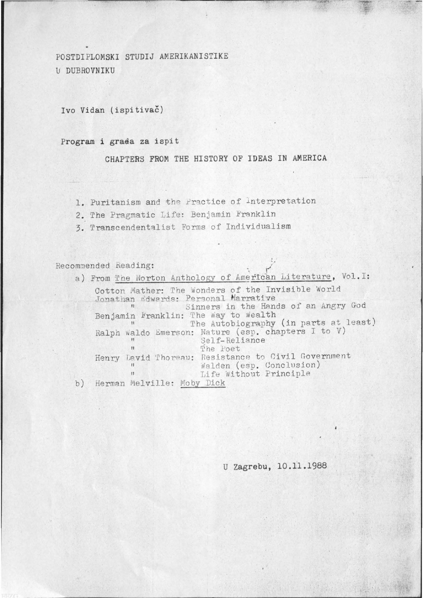POSTDIPLOMSKI STUDIJ AMERIKANISTIKE U DUBROVNIKU

Ivo Vidan (ispitivač)

## Program i grada za ispit

CHAPTERS FROM THE HISTORY OF IDEAS IN AMERICA

- 1. Puritanism and the Practice of Interpretation
- 2. The Pragmatic Life: Benjamin Franklin
- 3. Transcendentalist Forms of Individualism

Recommended Reading:

a) From The Norton Anthology of American Literature, Vol. I: Cotton Mather: The Wonders of the Invisible World<br>Jonathan Edwards: Personal Marrative Benjamin Franklin: The Way to Wealth The Autobiography (in parts at least) Ralph Waldo Emerson: Nature (esp. chapters I to V) Self-Reliance  $11$  $\mathbf{H}$ The Poet Henry David Thoreau: Resistance to Civil Government Walden (esp. Conclusion)  $\mathbf{H}$ . Life Without Principle  $\mathbf{H}$  $b)$ Herman Melville: Moby Dick

U Zagrebu, 10.11.1988